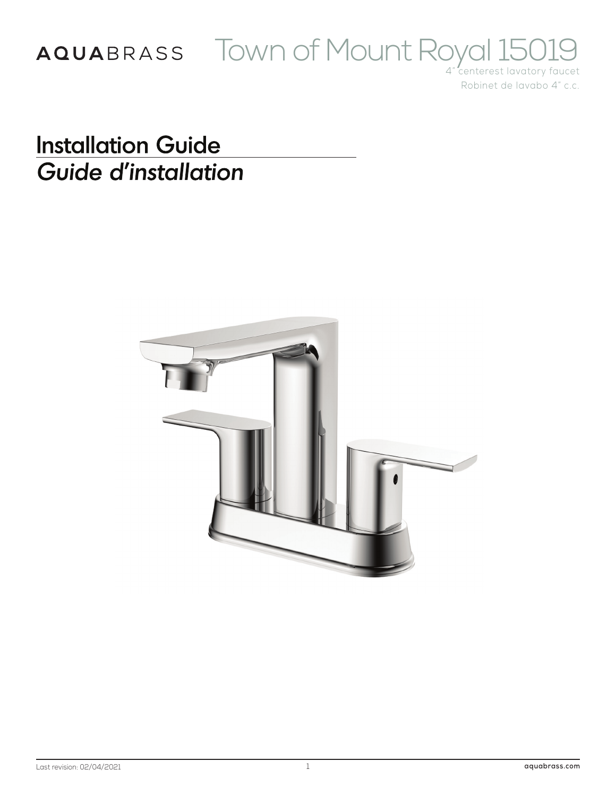# AQUABRASS TOWN Of Mount Royal 15019

Robinet de lavabo 4" c.c.

**Installation Guide** Guide d'installation

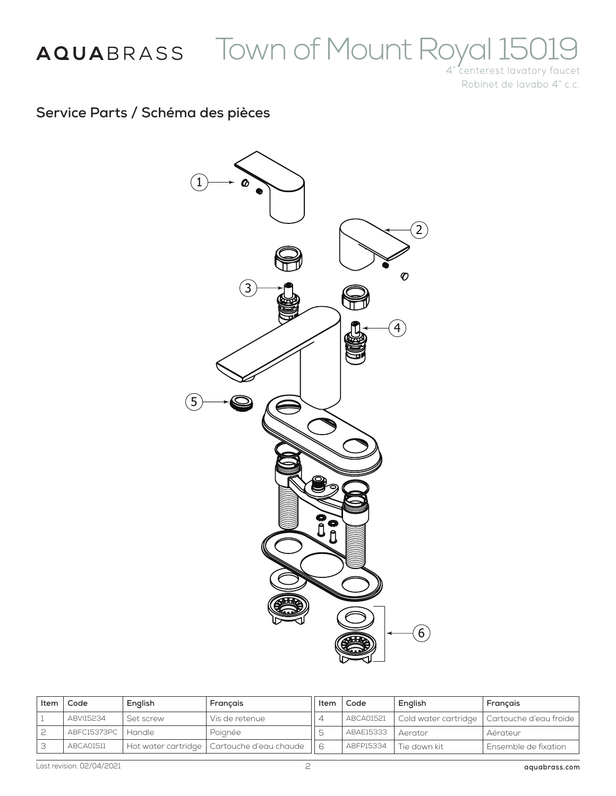# AQUABRASS TOWN OF Mount Royal 15019

Robinet de lavabo 4" c.c.

### **Service Parts / Schéma des pièces**



| ltem | Code                 | English   | Français                                     | Item | Code      | English      | Français                                      |
|------|----------------------|-----------|----------------------------------------------|------|-----------|--------------|-----------------------------------------------|
|      | ABVI15234            | Set screw | Vis de retenue                               |      | ABCA01521 |              | Cold water cartridge   Cartouche d'eau froide |
|      | ABFC15373PC   Handle |           | Poignée                                      |      | ABAE15333 | Aerator      | Aérateur                                      |
|      | ABCA01511            |           | Hot water cartridge   Cartouche d'eau chaude |      | ABFP15334 | Tie down kit | Ensemble de fixation                          |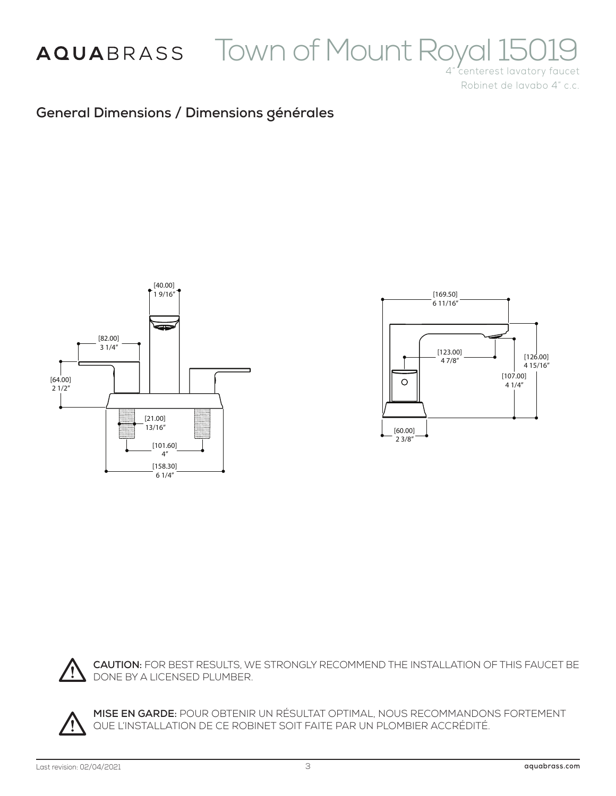

# AQUABRASS TOWN Of Mount Royal 15019

Robinet de lavabo 4" c.c.

### **General Dimensions / Dimensions générales**







**CAUTION:** FOR BEST RESULTS, WE STRONGLY RECOMMEND THE INSTALLATION OF THIS FAUCET BE DONE BY A LICENSED PLUMBER.



**MISE EN GARDE:** POUR OBTENIR UN RÉSULTAT OPTIMAL, NOUS RECOMMANDONS FORTEMENT QUE L'INSTALLATION DE CE ROBINET SOIT FAITE PAR UN PLOMBIER ACCRÉDITÉ.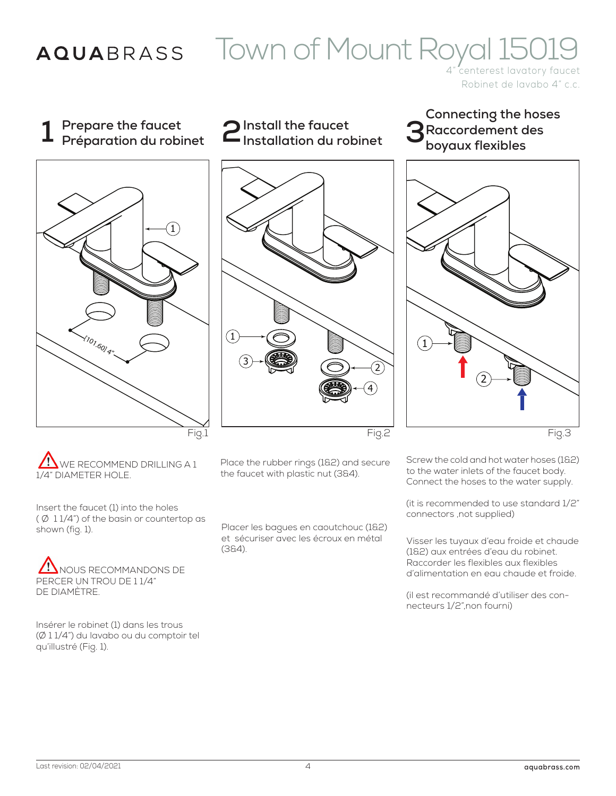### AQUABRASS

# Town of Mount Royal 15019

Robinet de lavabo 4" c.c.

**1 Prepare the faucet Préparation du robinet 2Install the faucet**



**Installation du robinet**





**3 Raccordement des** 

**boyaux flexibles**

**Connecting the hoses**

Fig.3

WE RECOMMEND DRILLING A 1 1/4" DIAMETER HOLE.

Insert the faucet (1) into the holes  $($  Ø  $11/4$ ") of the basin or countertop as shown (fig. 1).

NOUS RECOMMANDONS DE PERCER UN TROU DE 1 1/4" DE DIAMÈTRE.

Insérer le robinet (1) dans les trous (Ø 1 1/4") du lavabo ou du comptoir tel qu'illustré (Fig. 1).

Place the rubber rings (1&2) and secure the faucet with plastic nut (3&4).

Placer les bagues en caoutchouc (1&2) et sécuriser avec les écroux en métal (3&4).

Screw the cold and hot water hoses (1&2) to the water inlets of the faucet body. Connect the hoses to the water supply.

(it is recommended to use standard 1/2" connectors ,not supplied)

Visser les tuyaux d'eau froide et chaude (1&2) aux entrées d'eau du robinet. Raccorder les flexibles aux flexibles d'alimentation en eau chaude et froide.

(il est recommandé d'utiliser des connecteurs 1/2",non fourni)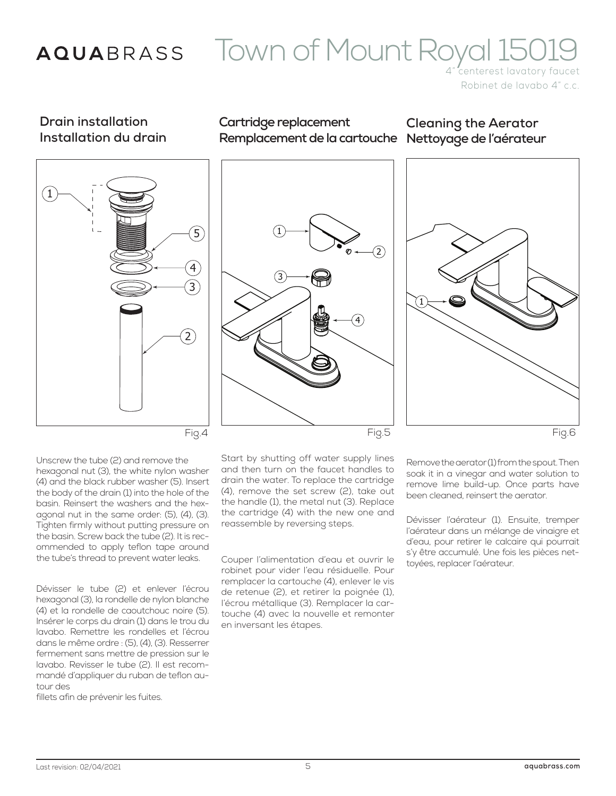### AQUABRASS

## Town of Mount Royal 15019

Robinet de lavabo 4" c.c.

### **Drain installation Installation du drain**



### **Cartridge replacement Remplacement de la cartouche Nettoyage de l'aérateur**

**Cleaning the Aerator**





Unscrew the tube (2) and remove the hexagonal nut (3), the white nylon washer (4) and the black rubber washer (5). Insert the body of the drain (1) into the hole of the basin. Reinsert the washers and the hexagonal nut in the same order: (5), (4), (3). Tighten firmly without putting pressure on the basin. Screw back the tube (2). It is recommended to apply teflon tape around the tube's thread to prevent water leaks.

Dévisser le tube (2) et enlever l'écrou hexagonal (3), la rondelle de nylon blanche (4) et la rondelle de caoutchouc noire (5). Insérer le corps du drain (1) dans le trou du lavabo. Remettre les rondelles et l'écrou dans le même ordre : (5), (4), (3). Resserrer fermement sans mettre de pression sur le lavabo. Revisser le tube (2). Il est recommandé d'appliquer du ruban de teflon autour des

fillets afin de prévenir les fuites.

Start by shutting off water supply lines and then turn on the faucet handles to drain the water. To replace the cartridge (4), remove the set screw (2), take out the handle (1), the metal nut (3). Replace the cartridge (4) with the new one and reassemble by reversing steps.

Couper l'alimentation d'eau et ouvrir le robinet pour vider l'eau résiduelle. Pour remplacer la cartouche (4), enlever le vis de retenue (2), et retirer la poignée (1), l'écrou métallique (3). Remplacer la cartouche (4) avec la nouvelle et remonter en inversant les étapes.

Remove the aerator (1) from the spout. Then soak it in a vinegar and water solution to remove lime build-up. Once parts have been cleaned, reinsert the aerator.

Dévisser l'aérateur (1). Ensuite, tremper l'aérateur dans un mélange de vinaigre et d'eau, pour retirer le calcaire qui pourrait s'y être accumulé. Une fois les pièces nettoyées, replacer l'aérateur.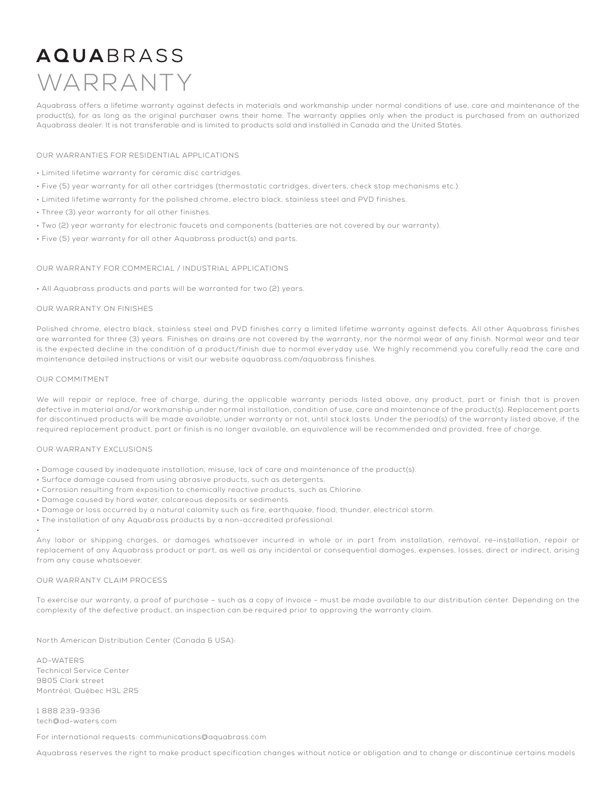## **AQUA**BRASS WARRANTY

Aquabrass offers a lifetime warranty against defects in materials and workmanship under normal conditions of use, care and maintenance of the product(s), for as long as the original purchaser owns their home. The warranty applies only when the product is purchased from an authorized Aquabrass dealer. It is not transferable and is limited to products sold and installed in Canada and the United States.

### OUR WARRANTIES FOR RESIDENTIAL APPLICATIONS

- Limited lifetime warranty for ceramic disc cartridges.
- Five (5) year warranty for all other cartridges (thermostatic cartridges, diverters, check stop mechanisms etc.).
- Limited lifetime warranty for the polished chrome, electro black, stainless steel and PVD finishes.
- Three (3) year warranty for all other finishes.
- Two (2) year warranty for electronic faucets and components (batteries are not covered by our warranty).
- Five (5) year warranty for all other Aquabrass product(s) and parts.

### OUR WARRANTY FOR COMMERCIAL / INDUSTRIAL APPLICATIONS

• All Aquabrass products and parts will be warranted for two (2) years.

### OUR WARRANTY ON FINISHES

Polished chrome, electro black, stainless steel and PVD finishes carry a limited lifetime warranty against defects. All other Aquabrass finishes are warranted for three (3) years. Finishes on drains are not covered by the warranty, nor the normal wear of any finish. Normal wear and tear is the expected decline in the condition of a product/finish due to normal everyday use. We highly recommend you carefully read the care and maintenance detailed instructions or visit our website aquabrass.com/aquabrass finishes.

#### OUR COMMITMENT

•

We will repair or replace, free of charge, during the applicable warranty periods listed above, any product, part or finish that is proven defective in material and/or workmanship under normal installation, condition of use, care and maintenance of the product(s). Replacement parts for discontinued products will be made available, under warranty or not, until stock lasts. Under the period(s) of the warranty listed above, if the required replacement product, part or finish is no longer available, an equivalence will be recommended and provided, free of charge.

### OUR WARRANTY EXCLUSIONS

- Damage caused by inadequate installation, misuse, lack of care and maintenance of the product(s).
- Surface damage caused from using abrasive products, such as detergents.
- Corrosion resulting from exposition to chemically reactive products, such as Chlorine.
- Damage caused by hard water, calcareous deposits or sediments.
- Damage or loss occurred by a natural calamity such as fire, earthquake, flood, thunder, electrical storm.
- The installation of any Aquabrass products by a non-accredited professional.

Any labor or shipping charges, or damages whatsoever incurred in whole or in part from installation, removal, re-installation, repair or replacement of any Aquabrass product or part, as well as any incidental or consequential damages, expenses, losses, direct or indirect, arising from any cause whatsoever.

### OUR WARRANTY CLAIM PROCESS

To exercise our warranty, a proof of purchase – such as a copy of invoice - must be made available to our distribution center. Depending on the complexity of the defective product, an inspection can be required prior to approving the warranty claim.

North American Distribution Center (Canada & USA):

AD-WATERS Technical Service Center 9805 Clark street Montréal, Québec H3L 2R5

1 888 239-9336 tech@ad-waters.com

For international requests: communications@aquabrass.com

Aquabrass reserves the right to make product specification changes without notice or obligation and to change or discontinue certains models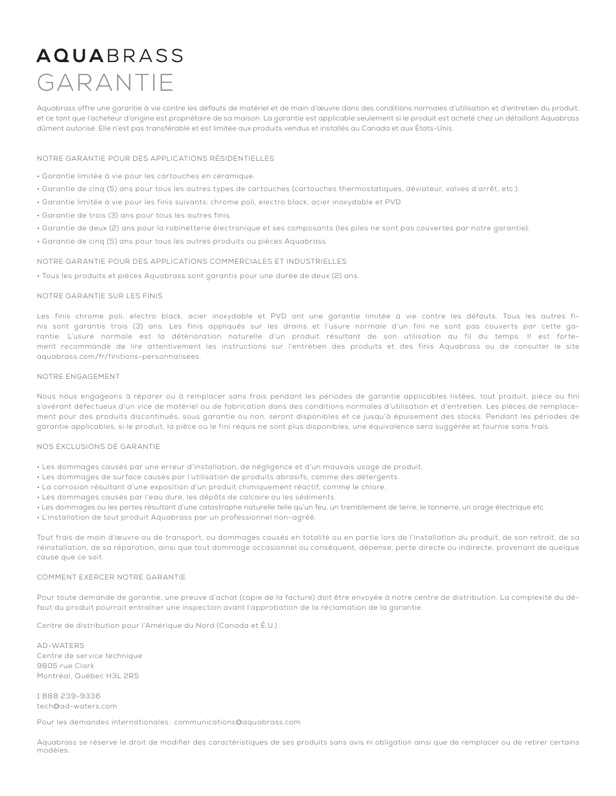## **AQUA**BRASS GARANTIE

Aquabrass offre une garantie à vie contre les défauts de matériel et de main d'œuvre dans des conditions normales d'utilisation et d'entretien du produit, et ce tant que l'acheteur d'origine est propriétaire de sa maison. La garantie est applicable seulement si le produit est acheté chez un détaillant Aquabrass dûment autorisé. Elle n'est pas transférable et est limitée aux produits vendus et installés au Canada et aux États-Unis.

### NOTRE GARANTIE POUR DES APPLICATIONS RÉSIDENTIELLES

- Garantie limitée à vie pour les cartouches en céramique.
- Garantie de cinq (5) ans pour tous les autres types de cartouches (cartouches thermostatiques, déviateur, valves d'arrêt, etc.).
- Garantie limitée à vie pour les finis suivants: chrome poli, electro black, acier inoxydable et PVD.
- Garantie de trois (3) ans pour tous les autres finis.
- Garantie de deux (2) ans pour la robinetterie électronique et ses composants (les piles ne sont pas couvertes par notre garantie).
- Garantie de cinq (5) ans pour tous les autres produits ou pièces Aquabrass.

#### NOTRE GARANTIE POUR DES APPLICATIONS COMMERCIALES ET INDUSTRIELLES

• Tous les produits et pièces Aquabrass sont garantis pour une durée de deux (2) ans.

#### NOTRE GARANTIE SUR LES FINIS

Les finis chrome poli, electro black, acier inoxydable et PVD ont une garantie limitée à vie contre les défauts. Tous les autres finis sont garantis trois (3) ans. Les finis appliqués sur les drains et l'usure normale d'un fini ne sont pas couverts par cette garantie. L'usure normale est la détérioration naturelle d'un produit résultant de son utilisation au fil du temps. Il est fortement recommandé de lire attentivement les instructions sur l'entretien des produits et des finis Aquabrass ou de consulter le site aquabrass.com/fr/finitions-personnalisees.

#### NOTRE ENGAGEMENT

Nous nous engageons à réparer ou à remplacer sans frais pendant les périodes de garantie applicables listées, tout produit, pièce ou fini s'avérant défectueux d'un vice de matériel ou de fabrication dans des conditions normales d'utilisation et d'entretien. Les pièces de remplacement pour des produits discontinués, sous garantie ou non, seront disponibles et ce jusqu'à épuisement des stocks. Pendant les périodes de garantie applicables, si le produit, la pièce ou le fini requis ne sont plus disponibles, une équivalence sera suggérée et fournie sans frais.

#### NOS EXCLUSIONS DE GARANTIE

- Les dommages causés par une erreur d'installation, de négligence et d'un mauvais usage de produit.
- Les dommages de surface causés par l'utilisation de produits abrasifs, comme des détergents.
- La corrosion résultant d'une exposition d'un produit chimiquement réactif, comme le chlore.
- Les dommages causés par l'eau dure, les dépôts de calcaire ou les sédiments.
- Les dommages ou les pertes résultant d'une catastrophe naturelle telle qu'un feu, un tremblement de terre, le tonnerre, un orage électrique etc.
- L'installation de tout produit Aquabrass par un professionnel non-agréé.

Tout frais de main d'œuvre ou de transport, ou dommages causés en totalité ou en partie lors de l'installation du produit, de son retrait, de sa réinstallation, de sa réparation, ainsi que tout dommage occasionnel ou conséquent, dépense, perte directe ou indirecte, provenant de quelque cause que ce soit.

### COMMENT EXERCER NOTRE GARANTIE

Pour toute demande de garantie, une preuve d'achat (copie de la facture) doit être envoyée à notre centre de distribution. La complexité du défaut du produit pourrait entraîner une inspection avant l'approbation de la réclamation de la garantie.

Centre de distribution pour l'Amérique du Nord (Canada et É.U.) :

AD-WATERS Centre de service technique 9805 rue Clark Montréal, Québec H3L 2R5

1 888 239-9336 tech@ad-waters.com

Pour les demandes internationales : communications@aquabrass.com

Aquabrass se réserve le droit de modifier des caractéristiques de ses produits sans avis ni obligation ainsi que de remplacer ou de retirer certains modèles.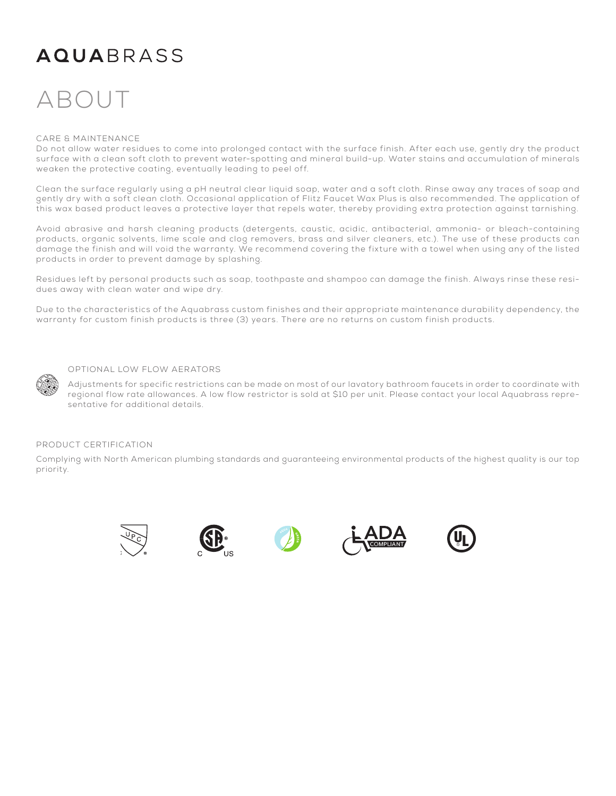### **AQUARRASS**

## ABOU

### CARE & MAINTENANCE

Do not allow water residues to come into prolonged contact with the surface finish. After each use, gently dry the product surface with a clean soft cloth to prevent water-spotting and mineral build-up. Water stains and accumulation of minerals weaken the protective coating, eventually leading to peel off.

Clean the surface regularly using a pH neutral clear liquid soap, water and a soft cloth. Rinse away any traces of soap and gently dry with a soft clean cloth. Occasional application of Flitz Faucet Wax Plus is also recommended. The application of this wax based product leaves a protective layer that repels water, thereby providing extra protection against tarnishing.

Avoid abrasive and harsh cleaning products (detergents, caustic, acidic, antibacterial, ammonia- or bleach-containing products, organic solvents, lime scale and clog removers, brass and silver cleaners, etc.). The use of these products can damage the finish and will void the warranty. We recommend covering the fixture with a towel when using any of the listed products in order to prevent damage by splashing.

Residues left by personal products such as soap, toothpaste and shampoo can damage the finish. Always rinse these residues away with clean water and wipe dry.

Due to the characteristics of the Aquabrass custom finishes and their appropriate maintenance durability dependency, the warranty for custom finish products is three (3) years. There are no returns on custom finish products.



### OPTIONAL LOW FLOW AERATORS

Adjustments for specific restrictions can be made on most of our lavatory bathroom faucets in order to coordinate with regional flow rate allowances. A low flow restrictor is sold at \$10 per unit. Please contact your local Aquabrass representative for additional details.

### PRODUCT CERTIFICATION

Complying with North American plumbing standards and guaranteeing environmental products of the highest quality is our top priority.